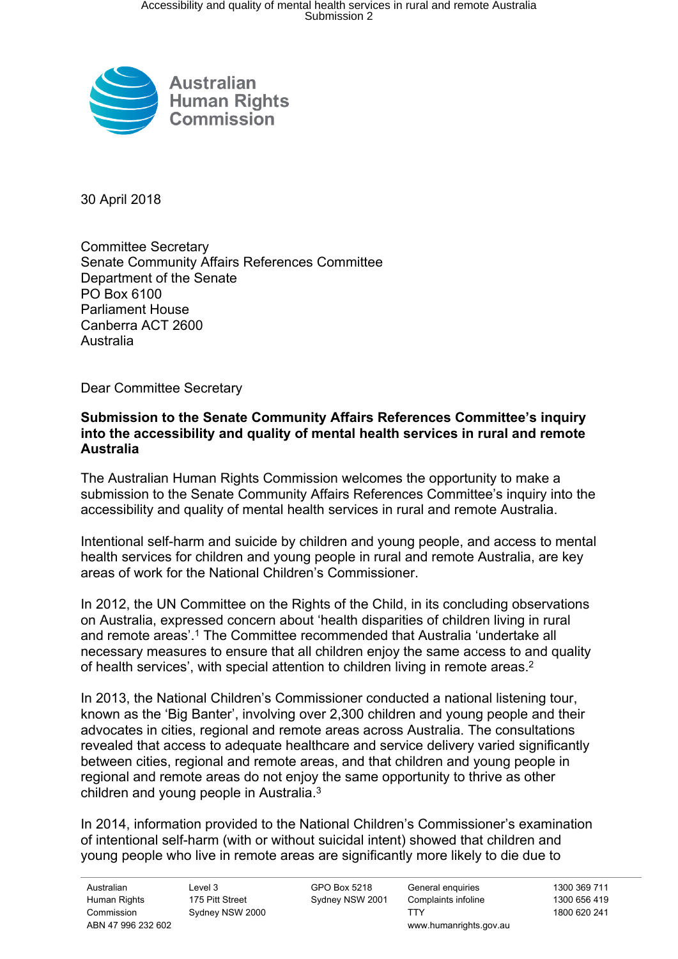

30 April 2018

Committee Secretary Senate Community Affairs References Committee Department of the Senate PO Box 6100 Parliament House Canberra ACT 2600 Australia

Dear Committee Secretary

## **Submission to the Senate Community Affairs References Committee's inquiry into the accessibility and quality of mental health services in rural and remote Australia**

The Australian Human Rights Commission welcomes the opportunity to make a submission to the Senate Community Affairs References Committee's inquiry into the accessibility and quality of mental health services in rural and remote Australia.

Intentional self-harm and suicide by children and young people, and access to mental health services for children and young people in rural and remote Australia, are key areas of work for the National Children's Commissioner.

In 2012, the UN Committee on the Rights of the Child, in its concluding observations on Australia, expressed concern about 'health disparities of children living in rural and remote areas'.<sup>1</sup> The Committee recommended that Australia 'undertake all necessary measures to ensure that all children enjoy the same access to and quality of health services', with special attention to children living in remote areas.<sup>2</sup>

In 2013, the National Children's Commissioner conducted a national listening tour, known as the 'Big Banter', involving over 2,300 children and young people and their advocates in cities, regional and remote areas across Australia. The consultations revealed that access to adequate healthcare and service delivery varied significantly between cities, regional and remote areas, and that children and young people in regional and remote areas do not enjoy the same opportunity to thrive as other children and young people in Australia.<sup>3</sup>

In 2014, information provided to the National Children's Commissioner's examination of intentional self-harm (with or without suicidal intent) showed that children and young people who live in remote areas are significantly more likely to die due to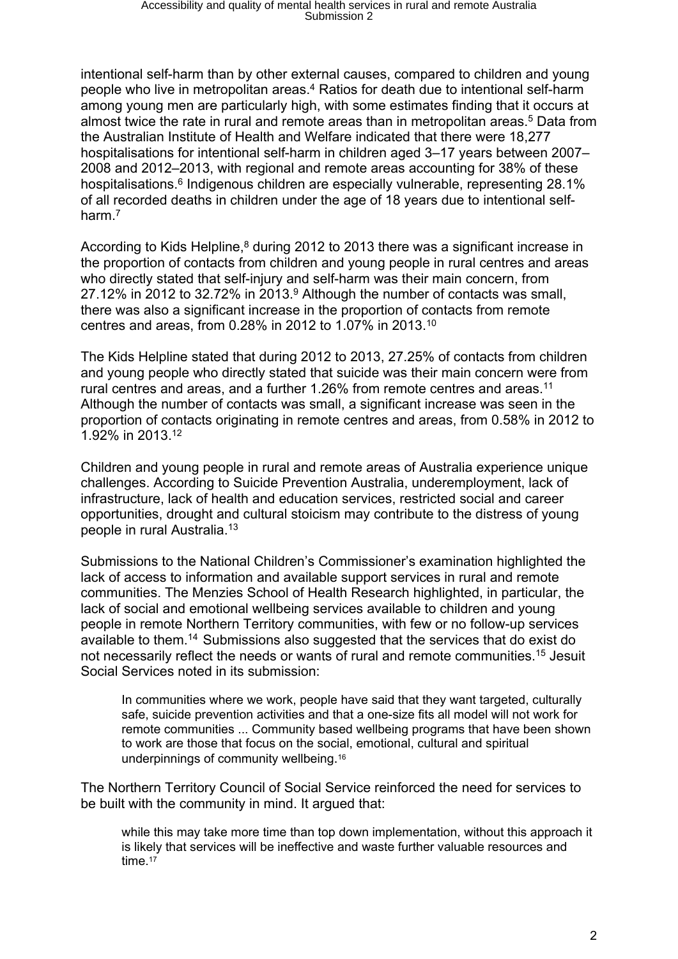intentional self-harm than by other external causes, compared to children and young people who live in metropolitan areas.<sup>4</sup> Ratios for death due to intentional self-harm among young men are particularly high, with some estimates finding that it occurs at almost twice the rate in rural and remote areas than in metropolitan areas.<sup>5</sup> Data from the Australian Institute of Health and Welfare indicated that there were 18,277 hospitalisations for intentional self-harm in children aged 3–17 years between 2007– 2008 and 2012–2013, with regional and remote areas accounting for 38% of these hospitalisations.<sup>6</sup> Indigenous children are especially vulnerable, representing 28.1% of all recorded deaths in children under the age of 18 years due to intentional selfharm.<sup>7</sup>

According to Kids Helpline,<sup>8</sup> during 2012 to 2013 there was a significant increase in the proportion of contacts from children and young people in rural centres and areas who directly stated that self-injury and self-harm was their main concern, from 27.12% in 2012 to 32.72% in 2013.<sup>9</sup> Although the number of contacts was small, there was also a significant increase in the proportion of contacts from remote centres and areas, from 0.28% in 2012 to 1.07% in 2013.<sup>10</sup>

The Kids Helpline stated that during 2012 to 2013, 27.25% of contacts from children and young people who directly stated that suicide was their main concern were from rural centres and areas, and a further 1.26% from remote centres and areas.<sup>11</sup> Although the number of contacts was small, a significant increase was seen in the proportion of contacts originating in remote centres and areas, from 0.58% in 2012 to 1.92% in 2013.<sup>12</sup>

Children and young people in rural and remote areas of Australia experience unique challenges. According to Suicide Prevention Australia, underemployment, lack of infrastructure, lack of health and education services, restricted social and career opportunities, drought and cultural stoicism may contribute to the distress of young people in rural Australia.<sup>13</sup>

Submissions to the National Children's Commissioner's examination highlighted the lack of access to information and available support services in rural and remote communities. The Menzies School of Health Research highlighted, in particular, the lack of social and emotional wellbeing services available to children and young people in remote Northern Territory communities, with few or no follow-up services available to them.<sup>14</sup> Submissions also suggested that the services that do exist do not necessarily reflect the needs or wants of rural and remote communities.<sup>15</sup> Jesuit Social Services noted in its submission:

In communities where we work, people have said that they want targeted, culturally safe, suicide prevention activities and that a one-size fits all model will not work for remote communities ... Community based wellbeing programs that have been shown to work are those that focus on the social, emotional, cultural and spiritual underpinnings of community wellbeing. 16

The Northern Territory Council of Social Service reinforced the need for services to be built with the community in mind. It argued that:

while this may take more time than top down implementation, without this approach it is likely that services will be ineffective and waste further valuable resources and time.<sup>17</sup>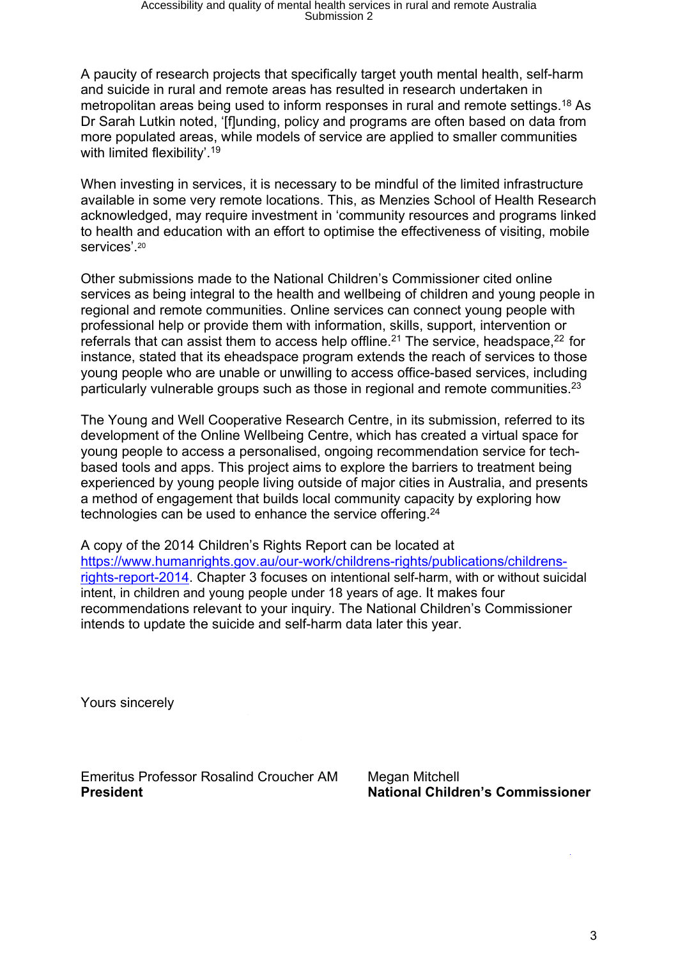A paucity of research projects that specifically target youth mental health, self-harm and suicide in rural and remote areas has resulted in research undertaken in metropolitan areas being used to inform responses in rural and remote settings.<sup>18</sup> As Dr Sarah Lutkin noted, '[f]unding, policy and programs are often based on data from more populated areas, while models of service are applied to smaller communities with limited flexibility'.<sup>19</sup>

When investing in services, it is necessary to be mindful of the limited infrastructure available in some very remote locations. This, as Menzies School of Health Research acknowledged, may require investment in 'community resources and programs linked to health and education with an effort to optimise the effectiveness of visiting, mobile services'.<sup>20</sup>

Other submissions made to the National Children's Commissioner cited online services as being integral to the health and wellbeing of children and young people in regional and remote communities. Online services can connect young people with professional help or provide them with information, skills, support, intervention or referrals that can assist them to access help offline.<sup>21</sup> The service, headspace,<sup>22</sup> for instance, stated that its eheadspace program extends the reach of services to those young people who are unable or unwilling to access office-based services, including particularly vulnerable groups such as those in regional and remote communities.<sup>23</sup>

The Young and Well Cooperative Research Centre, in its submission, referred to its development of the Online Wellbeing Centre, which has created a virtual space for young people to access a personalised, ongoing recommendation service for techbased tools and apps. This project aims to explore the barriers to treatment being experienced by young people living outside of major cities in Australia, and presents a method of engagement that builds local community capacity by exploring how technologies can be used to enhance the service offering.<sup>24</sup>

A copy of the 2014 Children's Rights Report can be located at [https://www.humanrights.gov.au/our-work/childrens-rights/publications/childrens](https://www.humanrights.gov.au/our-work/childrens-rights/publications/childrens-rights-report-2014)[rights-report-2014](https://www.humanrights.gov.au/our-work/childrens-rights/publications/childrens-rights-report-2014). Chapter 3 focuses on intentional self-harm, with or without suicidal intent, in children and young people under 18 years of age. It makes four recommendations relevant to your inquiry. The National Children's Commissioner intends to update the suicide and self-harm data later this year.

Yours sincerely

Emeritus Professor Rosalind Croucher AM Megan Mitchell **President National Children's Commissioner**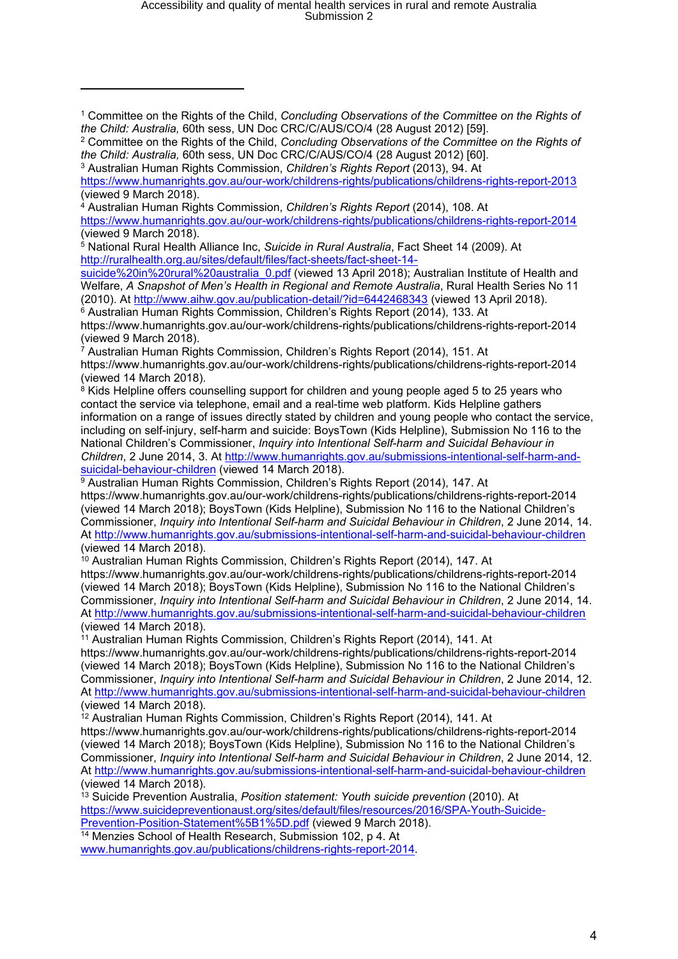## Accessibility and quality of mental health services in rural and remote Australia Submission 2

[suicide%20in%20rural%20australia\\_0.pdf](http://ruralhealth.org.au/sites/default/files/fact-sheets/fact-sheet-14-suicide%20in%20rural%20australia_0.pdf) (viewed 13 April 2018); Australian Institute of Health and Welfare, *A Snapshot of Men's Health in Regional and Remote Australia*, Rural Health Series No 11 (2010). At <http://www.aihw.gov.au/publication-detail/?id=6442468343> (viewed 13 April 2018).

<sup>6</sup> Australian Human Rights Commission, Children's Rights Report (2014), 133. At https://www.humanrights.gov.au/our-work/childrens-rights/publications/childrens-rights-report-2014 (viewed 9 March 2018).

 $\alpha$ <sup>7</sup> Australian Human Rights Commission, Children's Rights Report (2014), 151. At https://www.humanrights.gov.au/our-work/childrens-rights/publications/childrens-rights-report-2014 (viewed 14 March 2018).

<sup>8</sup> Kids Helpline offers counselling support for children and young people aged 5 to 25 years who contact the service via telephone, email and a real-time web platform. Kids Helpline gathers information on a range of issues directly stated by children and young people who contact the service, including on self-injury, self-harm and suicide: BoysTown (Kids Helpline), Submission No 116 to the National Children's Commissioner, *Inquiry into Intentional Self-harm and Suicidal Behaviour in Children*, 2 June 2014, 3. At [http://www.humanrights.gov.au/submissions-intentional-self-harm-and](http://www.humanrights.gov.au/submissions-intentional-self-harm-and-suicidal-behaviour-children)[suicidal-behaviour-children](http://www.humanrights.gov.au/submissions-intentional-self-harm-and-suicidal-behaviour-children) (viewed 14 March 2018).

<sup>9</sup> Australian Human Rights Commission, Children's Rights Report (2014), 147. At https://www.humanrights.gov.au/our-work/childrens-rights/publications/childrens-rights-report-2014 (viewed 14 March 2018); BoysTown (Kids Helpline), Submission No 116 to the National Children's Commissioner, *Inquiry into Intentional Self-harm and Suicidal Behaviour in Children*, 2 June 2014, 14. At <http://www.humanrights.gov.au/submissions-intentional-self-harm-and-suicidal-behaviour-children> (viewed 14 March 2018).

<sup>10</sup> Australian Human Rights Commission, Children's Rights Report (2014), 147. At https://www.humanrights.gov.au/our-work/childrens-rights/publications/childrens-rights-report-2014 (viewed 14 March 2018); BoysTown (Kids Helpline), Submission No 116 to the National Children's Commissioner, *Inquiry into Intentional Self-harm and Suicidal Behaviour in Children*, 2 June 2014, 14. At <http://www.humanrights.gov.au/submissions-intentional-self-harm-and-suicidal-behaviour-children> (viewed 14 March 2018).

<sup>11</sup> Australian Human Rights Commission, Children's Rights Report (2014), 141. At https://www.humanrights.gov.au/our-work/childrens-rights/publications/childrens-rights-report-2014 (viewed 14 March 2018); BoysTown (Kids Helpline), Submission No 116 to the National Children's Commissioner, *Inquiry into Intentional Self-harm and Suicidal Behaviour in Children*, 2 June 2014, 12. At <http://www.humanrights.gov.au/submissions-intentional-self-harm-and-suicidal-behaviour-children> (viewed 14 March 2018).

<sup>12</sup> Australian Human Rights Commission, Children's Rights Report (2014), 141. At https://www.humanrights.gov.au/our-work/childrens-rights/publications/childrens-rights-report-2014 (viewed 14 March 2018); BoysTown (Kids Helpline), Submission No 116 to the National Children's Commissioner, *Inquiry into Intentional Self-harm and Suicidal Behaviour in Children*, 2 June 2014, 12. At <http://www.humanrights.gov.au/submissions-intentional-self-harm-and-suicidal-behaviour-children> (viewed 14 March 2018).

<sup>13</sup> Suicide Prevention Australia, *Position statement: Youth suicide prevention* (2010). At [https://www.suicidepreventionaust.org/sites/default/files/resources/2016/SPA-Youth-Suicide-](https://www.suicidepreventionaust.org/sites/default/files/resources/2016/SPA-Youth-Suicide-Prevention-Position-Statement%5B1%5D.pdf)[Prevention-Position-Statement%5B1%5D.pdf](https://www.suicidepreventionaust.org/sites/default/files/resources/2016/SPA-Youth-Suicide-Prevention-Position-Statement%5B1%5D.pdf) (viewed 9 March 2018).

<sup>14</sup> Menzies School of Health Research, Submission 102, p 4. At [www.humanrights.gov.au/publications/childrens-rights-report-2014](http://www.humanrights.gov.au/publications/childrens-rights-report-2014).

<sup>1</sup> Committee on the Rights of the Child, *Concluding Observations of the Committee on the Rights of the Child: Australia,* 60th sess, UN Doc CRC/C/AUS/CO/4 (28 August 2012) [59].

<sup>2</sup> Committee on the Rights of the Child, *Concluding Observations of the Committee on the Rights of the Child: Australia,* 60th sess, UN Doc CRC/C/AUS/CO/4 (28 August 2012) [60].

<sup>3</sup> Australian Human Rights Commission, *Children's Rights Report* (2013), 94. At <https://www.humanrights.gov.au/our-work/childrens-rights/publications/childrens-rights-report-2013> (viewed 9 March 2018).

<sup>4</sup> Australian Human Rights Commission, *Children's Rights Report* (2014), 108. At <https://www.humanrights.gov.au/our-work/childrens-rights/publications/childrens-rights-report-2014> (viewed 9 March 2018).

<sup>5</sup> National Rural Health Alliance Inc, *Suicide in Rural Australia*, Fact Sheet 14 (2009). At [http://ruralhealth.org.au/sites/default/files/fact-sheets/fact-sheet-14-](http://ruralhealth.org.au/sites/default/files/fact-sheets/fact-sheet-14-suicide%20in%20rural%20australia_0.pdf)